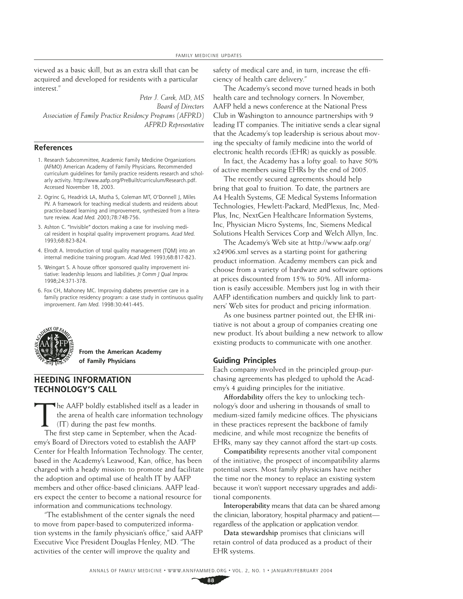viewed as a basic skill, but as an extra skill that can be acquired and developed for residents with a particular interest."

*Peter J. Carek, MD, MS Board of Directors Association of Family Practice Residency Programs (AFPRD) AFPRD Representative*

### **References**

- 1. Research Subcommittee, Academic Family Medicine Organizations (AFMO) American Academy of Family Physicians. Recommended curriculum guidelines for family practice residents research and scholarly activity. http://www.aafp.org/PreBuilt/curriculum/Research.pdf. Accessed November 18, 2003.
- 2. Ogrinc G, Headrick LA, Mutha S, Coleman MT, O'Donnell J, Miles PV. A framework for teaching medical students and residents about practice-based learning and improvement, synthesized from a literature review. *Acad Med.* 2003;78:748-756.
- 3. Ashton C. "Invisible" doctors making a case for involving medical resident in hospital quality improvement programs. *Acad Med.* 1993;68:823-824.
- 4. Elrodt A. Introduction of total quality management (TQM) into an internal medicine training program. *Acad Med.* 1993;68:817-823.
- 5. Weingart S. A house officer sponsored quality improvement initiative: leadership lessons and liabilities. *Jt Comm J Qual Improv.* 1998;24:371-378.
- 6. Fox CH, Mahoney MC. Improving diabetes preventive care in a family practice residency program: a case study in continuous quality improvement. *Fam Med.* 1998:30:441-445.



**From the American Academy of Family Physicians**

## **HEEDING INFORMATION TECHNOLOGY'S CALL**

The AAFP boldly established itself as a leader in the arena of health care information technology (IT) during the past few months.

The first step came in September, when the Academy's Board of Directors voted to establish the AAFP Center for Health Information Technology. The center, based in the Academy's Leawood, Kan, office, has been charged with a heady mission: to promote and facilitate the adoption and optimal use of health IT by AAFP members and other office-based clinicians. AAFP leaders expect the center to become a national resource for information and communications technology.

"The establishment of the center signals the need to move from paper-based to computerized information systems in the family physician's office," said AAFP Executive Vice President Douglas Henley, MD. "The activities of the center will improve the quality and

safety of medical care and, in turn, increase the efficiency of health care delivery."

The Academy's second move turned heads in both health care and technology corners. In November, AAFP held a news conference at the National Press Club in Washington to announce partnerships with 9 leading IT companies. The initiative sends a clear signal that the Academy's top leadership is serious about moving the specialty of family medicine into the world of electronic health records (EHR) as quickly as possible.

In fact, the Academy has a lofty goal: to have 50% of active members using EHRs by the end of 2005.

The recently secured agreements should help bring that goal to fruition. To date, the partners are A4 Health Systems, GE Medical Systems Information Technologies, Hewlett-Packard, MedPlexus, Inc, Med-Plus, Inc, NextGen Healthcare Information Systems, Inc, Physician Micro Systems, Inc, Siemens Medical Solutions Health Services Corp and Welch Allyn, Inc.

The Academy's Web site at http://www.aafp.org/ x24906.xml serves as a starting point for gathering product information. Academy members can pick and choose from a variety of hardware and software options at prices discounted from 15% to 50%. All information is easily accessible. Members just log in with their AAFP identification numbers and quickly link to partners' Web sites for product and pricing information.

As one business partner pointed out, the EHR initiative is not about a group of companies creating one new product. It's about building a new network to allow existing products to communicate with one another.

#### **Guiding Principles**

Each company involved in the principled group-purchasing agreements has pledged to uphold the Academy's 4 guiding principles for the initiative.

**Affordability** offers the key to unlocking technology's door and ushering in thousands of small to medium-sized family medicine offices. The physicians in these practices represent the backbone of family medicine, and while most recognize the benefits of EHRs, many say they cannot afford the start-up costs.

**Compatibility** represents another vital component of the initiative; the prospect of incompatibility alarms potential users. Most family physicians have neither the time nor the money to replace an existing system because it won't support necessary upgrades and additional components.

**Interoperability** means that data can be shared among the clinician, laboratory, hospital pharmacy and patient regardless of the application or application vendor.

**Data stewardship** promises that clinicians will retain control of data produced as a product of their EHR systems.